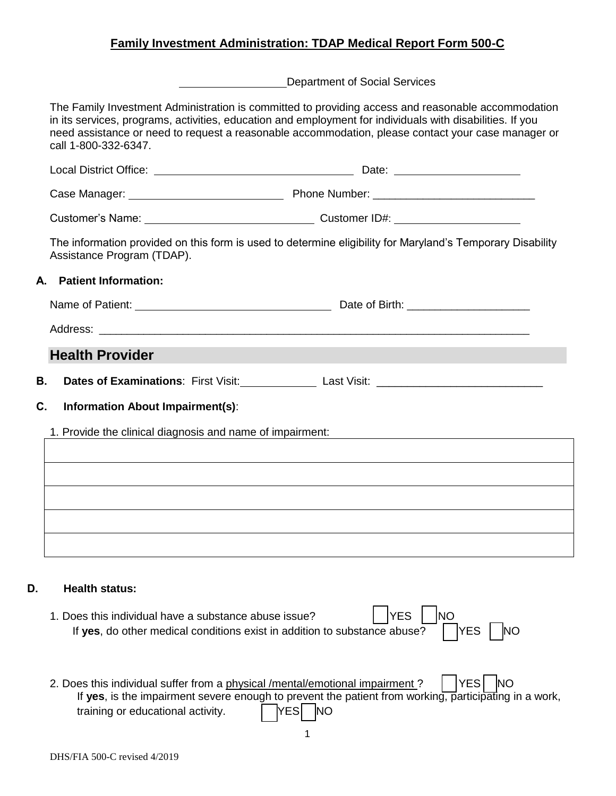## **Family Investment Administration: TDAP Medical Report Form 500-C**

Department of Social Services

The Family Investment Administration is committed to providing access and reasonable accommodation in its services, programs, activities, education and employment for individuals with disabilities. If you need assistance or need to request a reasonable accommodation, please contact your case manager or call 1-800-332-6347.

Local District Office: <u>Date: Date: Date: Date: Date: Date: Date: Date: Date: Date: Date: Date: Date: Date: Date: Date: Date: Date: Date: Date: Date: Date: Date: Date: Date: Date: Date: Date: Date: Date: Date: Date: Date: </u> Case Manager: Phone Number: \_\_\_\_\_\_\_\_\_\_\_\_\_\_\_\_\_\_\_\_\_\_\_\_\_\_\_\_\_ Customer's Name: Customer ID#: The information provided on this form is used to determine eligibility for Maryland's Temporary Disability Assistance Program (TDAP). **A. Patient Information:** Name of Patient:  $\blacksquare$ Address: **Health Provider B.** Dates of Examinations: First Visit: Last Visit: Last Visit: Last Visit: Last Visit: Last Dates of Examinations: First Visit: Last Visit: Last Visit: Last Dates of Examinations: First Visit: Last Visit: Last Visit: Las **C. Information About Impairment(s)**: 1. Provide the clinical diagnosis and name of impairment:

## **D. Health status:**

| 1. Does this individual have a substance abuse issue?                                          | $\sqrt{YES}$ $\sqrt{NO}$ |  |  |
|------------------------------------------------------------------------------------------------|--------------------------|--|--|
| If yes, do other medical conditions exist in addition to substance abuse? $\Box$ YES $\Box$ NO |                          |  |  |

2. Does this individual suffer from a physical /mental/emotional impairment ?  $\parallel$  YES  $\parallel$  NO If **yes**, is the impairment severe enough to prevent the patient from working, participating in a work, training or educational activity. **INC YES** NO